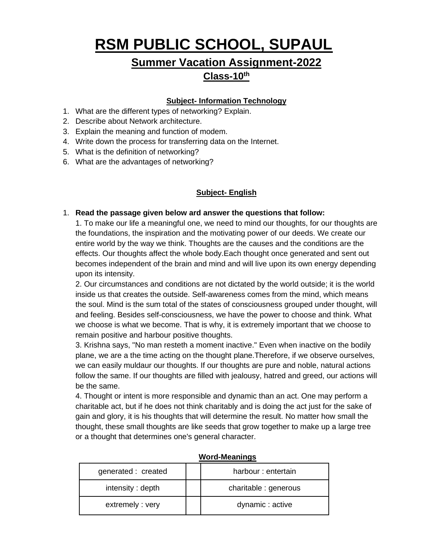# **RSM PUBLIC SCHOOL, SUPAUL**

# **Summer Vacation Assignment-2022**

## **Class-10th**

## **Subject- Information Technology**

- 1. What are the different types of networking? Explain.
- 2. Describe about Network architecture.
- 3. Explain the meaning and function of modem.
- 4. Write down the process for transferring data on the Internet.
- 5. What is the definition of networking?
- 6. What are the advantages of networking?

## **Subject- English**

#### 1. **Read the passage given below ard answer the questions that follow:**

1. To make our life a meaningful one, we need to mind our thoughts, for our thoughts are the foundations, the inspiration and the motivating power of our deeds. We create our entire world by the way we think. Thoughts are the causes and the conditions are the effects. Our thoughts affect the whole body.Each thought once generated and sent out becomes independent of the brain and mind and will live upon its own energy depending upon its intensity.

2. Our circumstances and conditions are not dictated by the world outside; it is the world inside us that creates the outside. Self-awareness comes from the mind, which means the soul. Mind is the sum total of the states of consciousness grouped under thought, will and feeling. Besides self-consciousness, we have the power to choose and think. What we choose is what we become. That is why, it is extremely important that we choose to remain positive and harbour positive thoughts.

3. Krishna says, "No man resteth a moment inactive." Even when inactive on the bodily plane, we are a the time acting on the thought plane.Therefore, if we observe ourselves, we can easily muldaur our thoughts. If our thoughts are pure and noble, natural actions follow the same. If our thoughts are filled with jealousy, hatred and greed, our actions will be the same.

4. Thought or intent is more responsible and dynamic than an act. One may perform a charitable act, but if he does not think charitably and is doing the act just for the sake of gain and glory, it is his thoughts that will determine the result. No matter how small the thought, these small thoughts are like seeds that grow together to make up a large tree or a thought that determines one's general character.

| generated : created | harbour: entertain    |
|---------------------|-----------------------|
| intensity: depth    | charitable : generous |
| extremely: very     | dynamic: active       |

#### **Word-Meanings**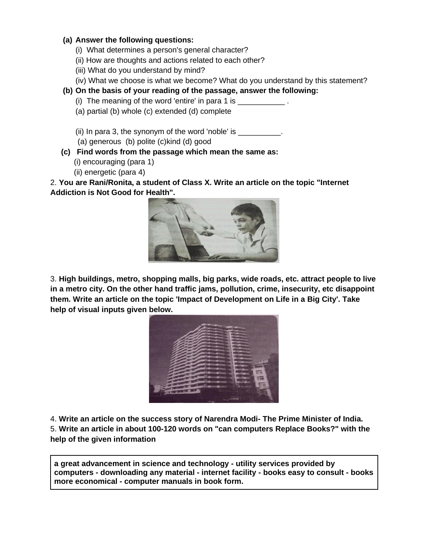#### **(a) Answer the following questions:**

- (i) What determines a person's general character?
- (ii) How are thoughts and actions related to each other?
- (iii) What do you understand by mind?
- (iv) What we choose is what we become? What do you understand by this statement?
- **(b) On the basis of your reading of the passage, answer the following:**
	- (i) The meaning of the word 'entire' in para 1 is  $\qquad$
	- (a) partial (b) whole (c) extended (d) complete
	- (ii) In para 3, the synonym of the word 'noble' is  $\frac{1}{\sqrt{1-\frac{1}{\sqrt{1-\frac{1}{\sqrt{1-\frac{1}{\sqrt{1-\frac{1}{\sqrt{1-\frac{1}{\sqrt{1-\frac{1}{\sqrt{1-\frac{1}{\sqrt{1-\frac{1}{\sqrt{1-\frac{1}{\sqrt{1-\frac{1}{\sqrt{1-\frac{1}{\sqrt{1-\frac{1}{\sqrt{1-\frac{1}{\sqrt{1-\frac{1}{\sqrt{1-\frac{1}{\sqrt{1-\frac{1}{\sqrt{1-\frac{1}{\sqrt{1-\frac{1}{\sqrt$
	- (a) generous (b) polite (c)kind (d) good
- **(c) Find words from the passage which mean the same as:** 
	- (i) encouraging (para 1)
	- (ii) energetic (para 4)

2. **You are Rani/Ronita, a student of Class X. Write an article on the topic "Internet Addiction is Not Good for Health".**



3. **High buildings, metro, shopping malls, big parks, wide roads, etc. attract people to live in a metro city. On the other hand traffic jams, pollution, crime, insecurity, etc disappoint them. Write an article on the topic 'Impact of Development on Life in a Big City'. Take help of visual inputs given below.** 

| <b>FEB</b> |
|------------|
|            |
|            |
|            |
|            |
|            |

4. **Write an article on the success story of Narendra Modi- The Prime Minister of India.** 5. **Write an article in about 100-120 words on "can computers Replace Books?" with the help of the given information**

**a great advancement in science and technology - utility services provided by computers - downloading any material - internet facility - books easy to consult - books more economical - computer manuals in book form.**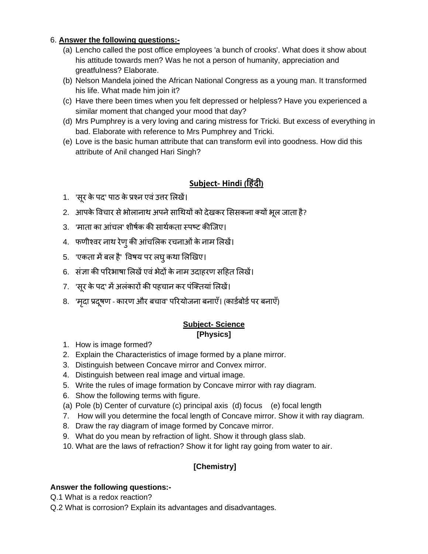## 6. **Answer the following questions:-**

- (a) Lencho called the post office employees 'a bunch of crooks'. What does it show about his attitude towards men? Was he not a person of humanity, appreciation and greatfulness? Elaborate.
- (b) Nelson Mandela joined the African National Congress as a young man. It transformed his life. What made him join it?
- (c) Have there been times when you felt depressed or helpless? Have you experienced a similar moment that changed your mood that day?
- (d) Mrs Pumphrey is a very loving and caring mistress for Tricki. But excess of everything in bad. Elaborate with reference to Mrs Pumphrey and Tricki.
- (e) Love is the basic human attribute that can transform evil into goodness. How did this attribute of Anil changed Hari Singh?

## **Subject- Hindi (ह िंदी)**

- 1. 'सूर केपद' पाठ केप्रश्न एवंउत्तर लिखें।
- 2. आपके विचार से भोलानाथ अपने साथियों को देखकर सिसकना क्यों भूल जाता है?
- 3. 'माता का आंचल' शीर्षक की सार्थकता स्पष्ट कीजिए।
- 4. फणीश्वर नाथ रेणुकी आंचलिक रचनाओंकेनाम लिखें।
- 5. 'एकता में बल है' विषय पर लघु कथा लिखिए।
- 6. संज्ञा की पररभार्ा लिखेंएवंभेदों केनाम उदाहरण सहहत लिखें।
- 7. 'सूर के पद' में अलंकारों की पहचान कर पंक्तियां लिखें।
- 8. 'मदृा प्रदर्ूण कारण और बचाव' पररयोजना बनाएँ। (कार्षबोर्षपर बनाएँ)

## **Subject- Science [Physics]**

- 1. How is image formed?
- 2. Explain the Characteristics of image formed by a plane mirror.
- 3. Distinguish between Concave mirror and Convex mirror.
- 4. Distinguish between real image and virtual image.
- 5. Write the rules of image formation by Concave mirror with ray diagram.
- 6. Show the following terms with figure.
- (a) Pole (b) Center of curvature (c) principal axis (d) focus (e) focal length
- 7. How will you determine the focal length of Concave mirror. Show it with ray diagram.
- 8. Draw the ray diagram of image formed by Concave mirror.
- 9. What do you mean by refraction of light. Show it through glass slab.
- 10. What are the laws of refraction? Show it for light ray going from water to air.

## **[Chemistry]**

## **Answer the following questions:-**

- Q.1 What is a redox reaction?
- Q.2 What is corrosion? Explain its advantages and disadvantages.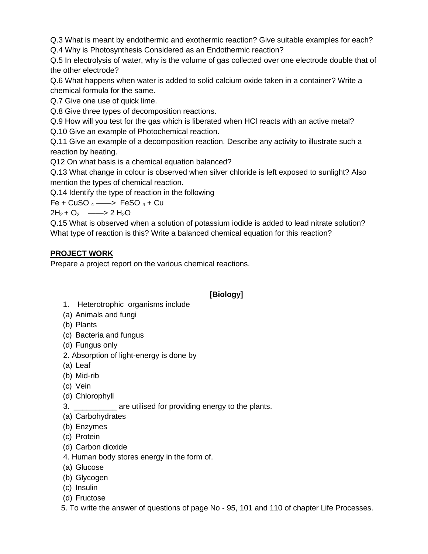Q.3 What is meant by endothermic and exothermic reaction? Give suitable examples for each?

Q.4 Why is Photosynthesis Considered as an Endothermic reaction?

Q.5 In electrolysis of water, why is the volume of gas collected over one electrode double that of the other electrode?

Q.6 What happens when water is added to solid calcium oxide taken in a container? Write a chemical formula for the same.

Q.7 Give one use of quick lime.

Q.8 Give three types of decomposition reactions.

Q.9 How will you test for the gas which is liberated when HCl reacts with an active metal?

Q.10 Give an example of Photochemical reaction.

Q.11 Give an example of a decomposition reaction. Describe any activity to illustrate such a reaction by heating.

Q12 On what basis is a chemical equation balanced?

Q.13 What change in colour is observed when silver chloride is left exposed to sunlight? Also mention the types of chemical reaction.

Q.14 Identify the type of reaction in the following

Fe + CuSO  $_4$  ——> FeSO  $_4$  + Cu

 $2H_2 + O_2$  ——> 2 H<sub>2</sub>O

Q.15 What is observed when a solution of potassium iodide is added to lead nitrate solution? What type of reaction is this? Write a balanced chemical equation for this reaction?

## **PROJECT WORK**

Prepare a project report on the various chemical reactions.

## **[Biology]**

- 1. Heterotrophic organisms include
- (a) Animals and fungi
- (b) Plants
- (c) Bacteria and fungus
- (d) Fungus only
- 2. Absorption of light-energy is done by
- (a) Leaf
- (b) Mid-rib
- (c) Vein
- (d) Chlorophyll
- 3. \_\_\_\_\_\_\_\_\_\_ are utilised for providing energy to the plants.
- (a) Carbohydrates
- (b) Enzymes
- (c) Protein
- (d) Carbon dioxide
- 4. Human body stores energy in the form of.
- (a) Glucose
- (b) Glycogen
- (c) Insulin
- (d) Fructose
- 5. To write the answer of questions of page No 95, 101 and 110 of chapter Life Processes.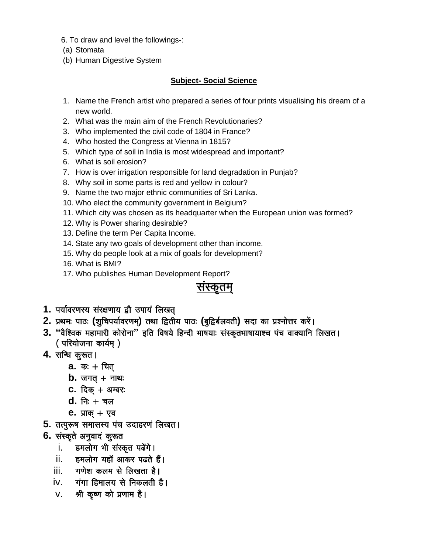- 6. To draw and level the followings-:
- (a) Stomata
- (b) Human Digestive System

### **Subject- Social Science**

- 1. Name the French artist who prepared a series of four prints visualising his dream of a new world.
- 2. What was the main aim of the French Revolutionaries?
- 3. Who implemented the civil code of 1804 in France?
- 4. Who hosted the Congress at Vienna in 1815?
- 5. Which type of soil in India is most widespread and important?
- 6. What is soil erosion?
- 7. How is over irrigation responsible for land degradation in Punjab?
- 8. Why soil in some parts is red and yellow in colour?
- 9. Name the two major ethnic communities of Sri Lanka.
- 10. Who elect the community government in Belgium?
- 11. Which city was chosen as its headquarter when the European union was formed?
- 12. Why is Power sharing desirable?
- 13. Define the term Per Capita Income.
- 14. State any two goals of development other than income.
- 15. Why do people look at a mix of goals for development?
- 16. What is BMI?
- 17. Who publishes Human Development Report?

## सस्कतम

- 1. पर्यावरणस्य संरक्षणाय द्वौ उपायं लिखत
- 2. प्रथमः पाठः (शुचिपर्यावरणम्) तथा द्वितीय पाठः (बुद्विर्बलवती) सदा का प्रश्नोत्तर करें।
- 3. "वैश्विक महामारी कोरोना" इति विषये हिन्दी भाषयाः संस्कृतभाषायाश्च पंच वाक्यानि लिखत। ( परियोजना कार्यम् )
- 4. सन्धि कुरूत।
	- **a.** कः + चित
	- $b.$  जगत + नाथ:
	- C. दिक  $+$  अम्बरः
	- $d. \nightharpoonup$  निः + चल
	- **e.** प्राक् + एव
- 5. तत्पुरूष समासस्य पंच उदाहरणं लिखत।
- 6. संस्कृते अनुवादं कुरूत
	- हमलोग भी संस्कृत पढेंगे। i.
	- ii. हमलोग यहाँ आकर पढते हैं।
	- iii. गणेश कलम से लिखता है।
	- iv. गंगा हिमालय से निकलती है।
	- V. श्री कृष्ण को प्रणाम है।